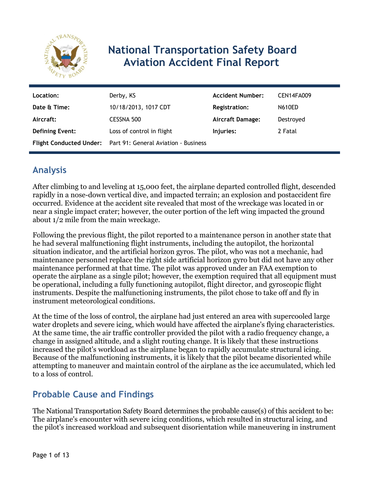

# **National Transportation Safety Board Aviation Accident Final Report**

| Location:              | Derby, KS                                                    | <b>Accident Number:</b> | <b>CEN14FA009</b> |
|------------------------|--------------------------------------------------------------|-------------------------|-------------------|
| Date & Time:           | 10/18/2013, 1017 CDT                                         | <b>Registration:</b>    | <b>N610ED</b>     |
| Aircraft:              | CESSNA 500                                                   | Aircraft Damage:        | Destroyed         |
| <b>Defining Event:</b> | Loss of control in flight                                    | Injuries:               | 2 Fatal           |
|                        | Flight Conducted Under: Part 91: General Aviation - Business |                         |                   |

# **Analysis**

After climbing to and leveling at 15,000 feet, the airplane departed controlled flight, descended rapidly in a nose-down vertical dive, and impacted terrain; an explosion and postaccident fire occurred. Evidence at the accident site revealed that most of the wreckage was located in or near a single impact crater; however, the outer portion of the left wing impacted the ground about 1/2 mile from the main wreckage.

Following the previous flight, the pilot reported to a maintenance person in another state that he had several malfunctioning flight instruments, including the autopilot, the horizontal situation indicator, and the artificial horizon gyros. The pilot, who was not a mechanic, had maintenance personnel replace the right side artificial horizon gyro but did not have any other maintenance performed at that time. The pilot was approved under an FAA exemption to operate the airplane as a single pilot; however, the exemption required that all equipment must be operational, including a fully functioning autopilot, flight director, and gyroscopic flight instruments. Despite the malfunctioning instruments, the pilot chose to take off and fly in instrument meteorological conditions.

At the time of the loss of control, the airplane had just entered an area with supercooled large water droplets and severe icing, which would have affected the airplane's flying characteristics. At the same time, the air traffic controller provided the pilot with a radio frequency change, a change in assigned altitude, and a slight routing change. It is likely that these instructions increased the pilot's workload as the airplane began to rapidly accumulate structural icing. Because of the malfunctioning instruments, it is likely that the pilot became disoriented while attempting to maneuver and maintain control of the airplane as the ice accumulated, which led to a loss of control.

## **Probable Cause and Findings**

The National Transportation Safety Board determines the probable cause(s) of this accident to be: The airplane's encounter with severe icing conditions, which resulted in structural icing, and the pilot's increased workload and subsequent disorientation while maneuvering in instrument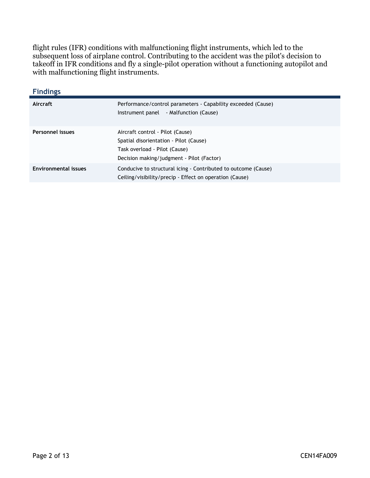flight rules (IFR) conditions with malfunctioning flight instruments, which led to the subsequent loss of airplane control. Contributing to the accident was the pilot's decision to takeoff in IFR conditions and fly a single-pilot operation without a functioning autopilot and with malfunctioning flight instruments.

| <b>Findings</b>             |                                                                                                                                                          |
|-----------------------------|----------------------------------------------------------------------------------------------------------------------------------------------------------|
| Aircraft                    | Performance/control parameters - Capability exceeded (Cause)<br>- Malfunction (Cause)<br>Instrument panel                                                |
| Personnel issues            | Aircraft control - Pilot (Cause)<br>Spatial disorientation - Pilot (Cause)<br>Task overload - Pilot (Cause)<br>Decision making/judgment - Pilot (Factor) |
| <b>Environmental issues</b> | Conducive to structural icing - Contributed to outcome (Cause)<br>Ceiling/visibility/precip - Effect on operation (Cause)                                |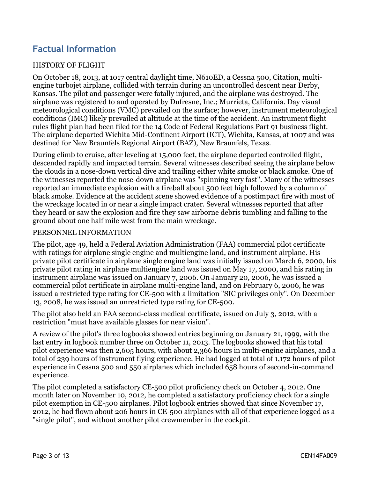# **Factual Information**

#### HISTORY OF FLIGHT

On October 18, 2013, at 1017 central daylight time, N610ED, a Cessna 500, Citation, multiengine turbojet airplane, collided with terrain during an uncontrolled descent near Derby, Kansas. The pilot and passenger were fatally injured, and the airplane was destroyed. The airplane was registered to and operated by Dufresne, Inc.; Murrieta, California. Day visual meteorological conditions (VMC) prevailed on the surface; however, instrument meteorological conditions (IMC) likely prevailed at altitude at the time of the accident. An instrument flight rules flight plan had been filed for the 14 Code of Federal Regulations Part 91 business flight. The airplane departed Wichita Mid-Continent Airport (ICT), Wichita, Kansas, at 1007 and was destined for New Braunfels Regional Airport (BAZ), New Braunfels, Texas.

During climb to cruise, after leveling at 15,000 feet, the airplane departed controlled flight, descended rapidly and impacted terrain. Several witnesses described seeing the airplane below the clouds in a nose-down vertical dive and trailing either white smoke or black smoke. One of the witnesses reported the nose-down airplane was "spinning very fast". Many of the witnesses reported an immediate explosion with a fireball about 500 feet high followed by a column of black smoke. Evidence at the accident scene showed evidence of a postimpact fire with most of the wreckage located in or near a single impact crater. Several witnesses reported that after they heard or saw the explosion and fire they saw airborne debris tumbling and falling to the ground about one half mile west from the main wreckage.

#### PERSONNEL INFORMATION

The pilot, age 49, held a Federal Aviation Administration (FAA) commercial pilot certificate with ratings for airplane single engine and multiengine land, and instrument airplane. His private pilot certificate in airplane single engine land was initially issued on March 6, 2000, his private pilot rating in airplane multiengine land was issued on May 17, 2000, and his rating in instrument airplane was issued on January 7, 2006. On January 20, 2006, he was issued a commercial pilot certificate in airplane multi-engine land, and on February 6, 2006, he was issued a restricted type rating for CE-500 with a limitation "SIC privileges only". On December 13, 2008, he was issued an unrestricted type rating for CE-500.

The pilot also held an FAA second-class medical certificate, issued on July 3, 2012, with a restriction "must have available glasses for near vision".

A review of the pilot's three logbooks showed entries beginning on January 21, 1999, with the last entry in logbook number three on October 11, 2013. The logbooks showed that his total pilot experience was then 2,605 hours, with about 2,366 hours in multi-engine airplanes, and a total of 239 hours of instrument flying experience. He had logged at total of 1,172 hours of pilot experience in Cessna 500 and 550 airplanes which included 658 hours of second-in-command experience.

The pilot completed a satisfactory CE-500 pilot proficiency check on October 4, 2012. One month later on November 10, 2012, he completed a satisfactory proficiency check for a single pilot exemption in CE-500 airplanes. Pilot logbook entries showed that since November 17, 2012, he had flown about 206 hours in CE-500 airplanes with all of that experience logged as a "single pilot", and without another pilot crewmember in the cockpit.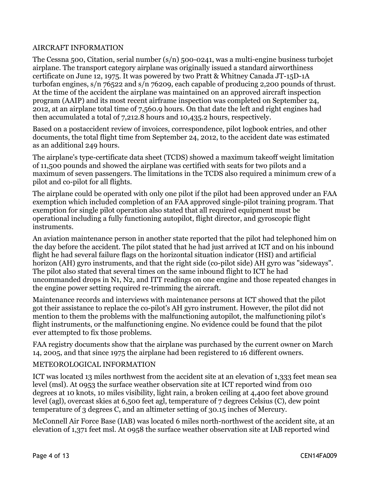#### AIRCRAFT INFORMATION

The Cessna 500, Citation, serial number (s/n) 500-0241, was a multi-engine business turbojet airplane. The transport category airplane was originally issued a standard airworthiness certificate on June 12, 1975. It was powered by two Pratt & Whitney Canada JT-15D-1A turbofan engines, s/n 76522 and s/n 76209, each capable of producing 2,200 pounds of thrust. At the time of the accident the airplane was maintained on an approved aircraft inspection program (AAIP) and its most recent airframe inspection was completed on September 24, 2012, at an airplane total time of 7,560.9 hours. On that date the left and right engines had then accumulated a total of 7,212.8 hours and 10,435.2 hours, respectively.

Based on a postaccident review of invoices, correspondence, pilot logbook entries, and other documents, the total flight time from September 24, 2012, to the accident date was estimated as an additional 249 hours.

The airplane's type-certificate data sheet (TCDS) showed a maximum takeoff weight limitation of 11,500 pounds and showed the airplane was certified with seats for two pilots and a maximum of seven passengers. The limitations in the TCDS also required a minimum crew of a pilot and co-pilot for all flights.

The airplane could be operated with only one pilot if the pilot had been approved under an FAA exemption which included completion of an FAA approved single-pilot training program. That exemption for single pilot operation also stated that all required equipment must be operational including a fully functioning autopilot, flight director, and gyroscopic flight instruments.

An aviation maintenance person in another state reported that the pilot had telephoned him on the day before the accident. The pilot stated that he had just arrived at ICT and on his inbound flight he had several failure flags on the horizontal situation indicator (HSI) and artificial horizon (AH) gyro instruments, and that the right side (co-pilot side) AH gyro was "sideways". The pilot also stated that several times on the same inbound flight to ICT he had uncommanded drops in N1, N2, and ITT readings on one engine and those repeated changes in the engine power setting required re-trimming the aircraft.

Maintenance records and interviews with maintenance persons at ICT showed that the pilot got their assistance to replace the co-pilot's AH gyro instrument. However, the pilot did not mention to them the problems with the malfunctioning autopilot, the malfunctioning pilot's flight instruments, or the malfunctioning engine. No evidence could be found that the pilot ever attempted to fix those problems.

FAA registry documents show that the airplane was purchased by the current owner on March 14, 2005, and that since 1975 the airplane had been registered to 16 different owners.

#### METEOROLOGICAL INFORMATION

ICT was located 13 miles northwest from the accident site at an elevation of 1,333 feet mean sea level (msl). At 0953 the surface weather observation site at ICT reported wind from 010 degrees at 10 knots, 10 miles visibility, light rain, a broken ceiling at 4,400 feet above ground level (agl), overcast skies at 6,500 feet agl, temperature of 7 degrees Celsius (C), dew point temperature of 3 degrees C, and an altimeter setting of 30.15 inches of Mercury.

McConnell Air Force Base (IAB) was located 6 miles north-northwest of the accident site, at an elevation of 1,371 feet msl. At 0958 the surface weather observation site at IAB reported wind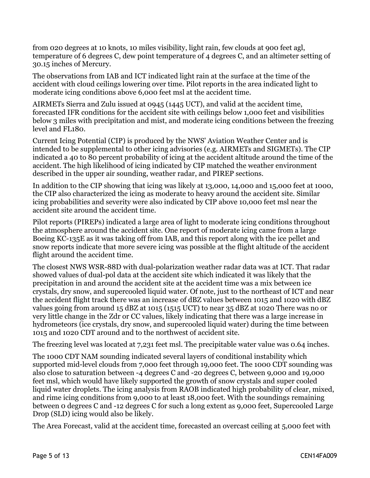from 020 degrees at 10 knots, 10 miles visibility, light rain, few clouds at 900 feet agl, temperature of 6 degrees C, dew point temperature of 4 degrees C, and an altimeter setting of 30.15 inches of Mercury.

The observations from IAB and ICT indicated light rain at the surface at the time of the accident with cloud ceilings lowering over time. Pilot reports in the area indicated light to moderate icing conditions above 6,000 feet msl at the accident time.

AIRMETs Sierra and Zulu issued at 0945 (1445 UCT), and valid at the accident time, forecasted IFR conditions for the accident site with ceilings below 1,000 feet and visibilities below 3 miles with precipitation and mist, and moderate icing conditions between the freezing level and FL180.

Current Icing Potential (CIP) is produced by the NWS' Aviation Weather Center and is intended to be supplemental to other icing advisories (e.g. AIRMETs and SIGMETs). The CIP indicated a 40 to 80 percent probability of icing at the accident altitude around the time of the accident. The high likelihood of icing indicated by CIP matched the weather environment described in the upper air sounding, weather radar, and PIREP sections.

In addition to the CIP showing that icing was likely at 13,000, 14,000 and 15,000 feet at 1000, the CIP also characterized the icing as moderate to heavy around the accident site. Similar icing probabilities and severity were also indicated by CIP above 10,000 feet msl near the accident site around the accident time.

Pilot reports (PIREPs) indicated a large area of light to moderate icing conditions throughout the atmosphere around the accident site. One report of moderate icing came from a large Boeing KC-135E as it was taking off from IAB, and this report along with the ice pellet and snow reports indicate that more severe icing was possible at the flight altitude of the accident flight around the accident time.

The closest NWS WSR-88D with dual-polarization weather radar data was at ICT. That radar showed values of dual-pol data at the accident site which indicated it was likely that the precipitation in and around the accident site at the accident time was a mix between ice crystals, dry snow, and supercooled liquid water. Of note, just to the northeast of ICT and near the accident flight track there was an increase of dBZ values between 1015 and 1020 with dBZ values going from around 15 dBZ at 1015 (1515 UCT) to near 35 dBZ at 1020 There was no or very little change in the Zdr or CC values, likely indicating that there was a large increase in hydrometeors (ice crystals, dry snow, and supercooled liquid water) during the time between 1015 and 1020 CDT around and to the northwest of accident site.

The freezing level was located at 7,231 feet msl. The precipitable water value was 0.64 inches.

The 1000 CDT NAM sounding indicated several layers of conditional instability which supported mid-level clouds from 7,000 feet through 19,000 feet. The 1000 CDT sounding was also close to saturation between -4 degrees C and -20 degrees C, between 9,000 and 19,000 feet msl, which would have likely supported the growth of snow crystals and super cooled liquid water droplets. The icing analysis from RAOB indicated high probability of clear, mixed, and rime icing conditions from 9,000 to at least 18,000 feet. With the soundings remaining between 0 degrees C and -12 degrees C for such a long extent as 9,000 feet, Supercooled Large Drop (SLD) icing would also be likely.

The Area Forecast, valid at the accident time, forecasted an overcast ceiling at 5,000 feet with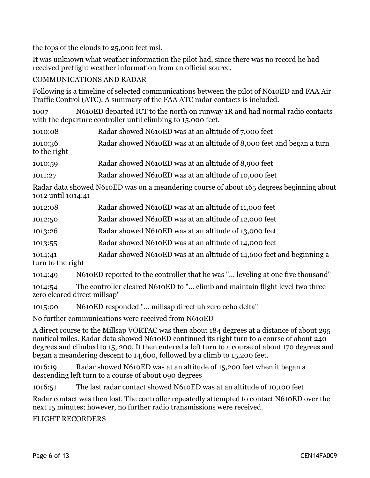the tops of the clouds to 25,000 feet msl.

It was unknown what weather information the pilot had, since there was no record he had received preflight weather information from an official source.

#### COMMUNICATIONS AND RADAR

Following is a timeline of selected communications between the pilot of N610ED and FAA Air Traffic Control (ATC). A summary of the FAA ATC radar contacts is included.

1007 N610ED departed ICT to the north on runway 1R and had normal radio contacts with the departure controller until climbing to 15,000 feet.

| 1010:08                 | Radar showed N610ED was at an altitude of 7,000 feet                  |
|-------------------------|-----------------------------------------------------------------------|
| 1010:36<br>to the right | Radar showed N610ED was at an altitude of 8,000 feet and began a turn |
| 1010:59                 | Radar showed N610ED was at an altitude of 8,900 feet                  |
| 1011:27                 | Radar showed N610ED was at an altitude of 10,000 feet                 |

Radar data showed N610ED was on a meandering course of about 165 degrees beginning about 1012 until 1014:41

| 1012:08 | Radar showed N610ED was at an altitude of 11,000 feet |  |
|---------|-------------------------------------------------------|--|
|---------|-------------------------------------------------------|--|

1012:50 Radar showed N610ED was at an altitude of 12,000 feet

1013:26 Radar showed N610ED was at an altitude of 13,000 feet

1013:55 Radar showed N610ED was at an altitude of 14,000 feet

1014:41 Radar showed N610ED was at an altitude of 14,600 feet and beginning a turn to the right

1014:49 N610ED reported to the controller that he was "… leveling at one five thousand"

1014:54 The controller cleared N610ED to "… climb and maintain flight level two three zero cleared direct millsap"

1015:00 N610ED responded "… millsap direct uh zero echo delta"

No further communications were received from N610ED

A direct course to the Millsap VORTAC was then about 184 degrees at a distance of about 295 nautical miles. Radar data showed N610ED continued its right turn to a course of about 240 degrees and climbed to 15, 200. It then entered a left turn to a course of about 170 degrees and began a meandering descent to 14,600, followed by a climb to 15,200 feet.

1016:19 Radar showed N610ED was at an altitude of 15,200 feet when it began a descending left turn to a course of about 090 degrees

1016:51 The last radar contact showed N610ED was at an altitude of 10,100 feet

Radar contact was then lost. The controller repeatedly attempted to contact N610ED over the next 15 minutes; however, no further radio transmissions were received.

FLIGHT RECORDERS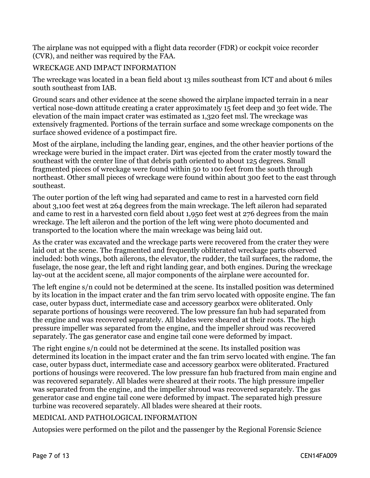The airplane was not equipped with a flight data recorder (FDR) or cockpit voice recorder (CVR), and neither was required by the FAA.

#### WRECKAGE AND IMPACT INFORMATION

The wreckage was located in a bean field about 13 miles southeast from ICT and about 6 miles south southeast from IAB.

Ground scars and other evidence at the scene showed the airplane impacted terrain in a near vertical nose-down attitude creating a crater approximately 15 feet deep and 30 feet wide. The elevation of the main impact crater was estimated as 1,320 feet msl. The wreckage was extensively fragmented. Portions of the terrain surface and some wreckage components on the surface showed evidence of a postimpact fire.

Most of the airplane, including the landing gear, engines, and the other heavier portions of the wreckage were buried in the impact crater. Dirt was ejected from the crater mostly toward the southeast with the center line of that debris path oriented to about 125 degrees. Small fragmented pieces of wreckage were found within 50 to 100 feet from the south through northeast. Other small pieces of wreckage were found within about 300 feet to the east through southeast.

The outer portion of the left wing had separated and came to rest in a harvested corn field about 3,100 feet west at 264 degrees from the main wreckage. The left aileron had separated and came to rest in a harvested corn field about 1,950 feet west at 276 degrees from the main wreckage. The left aileron and the portion of the left wing were photo documented and transported to the location where the main wreckage was being laid out.

As the crater was excavated and the wreckage parts were recovered from the crater they were laid out at the scene. The fragmented and frequently obliterated wreckage parts observed included: both wings, both ailerons, the elevator, the rudder, the tail surfaces, the radome, the fuselage, the nose gear, the left and right landing gear, and both engines. During the wreckage lay-out at the accident scene, all major components of the airplane were accounted for.

The left engine s/n could not be determined at the scene. Its installed position was determined by its location in the impact crater and the fan trim servo located with opposite engine. The fan case, outer bypass duct, intermediate case and accessory gearbox were obliterated. Only separate portions of housings were recovered. The low pressure fan hub had separated from the engine and was recovered separately. All blades were sheared at their roots. The high pressure impeller was separated from the engine, and the impeller shroud was recovered separately. The gas generator case and engine tail cone were deformed by impact.

The right engine s/n could not be determined at the scene. Its installed position was determined its location in the impact crater and the fan trim servo located with engine. The fan case, outer bypass duct, intermediate case and accessory gearbox were obliterated. Fractured portions of housings were recovered. The low pressure fan hub fractured from main engine and was recovered separately. All blades were sheared at their roots. The high pressure impeller was separated from the engine, and the impeller shroud was recovered separately. The gas generator case and engine tail cone were deformed by impact. The separated high pressure turbine was recovered separately. All blades were sheared at their roots.

#### MEDICAL AND PATHOLOGICAL INFORMATION

Autopsies were performed on the pilot and the passenger by the Regional Forensic Science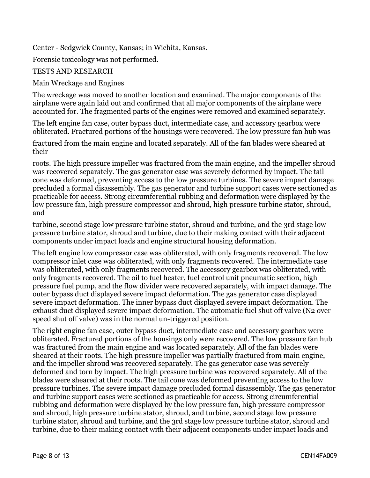Center - Sedgwick County, Kansas; in Wichita, Kansas.

Forensic toxicology was not performed.

#### TESTS AND RESEARCH

#### Main Wreckage and Engines

The wreckage was moved to another location and examined. The major components of the airplane were again laid out and confirmed that all major components of the airplane were accounted for. The fragmented parts of the engines were removed and examined separately.

The left engine fan case, outer bypass duct, intermediate case, and accessory gearbox were obliterated. Fractured portions of the housings were recovered. The low pressure fan hub was

fractured from the main engine and located separately. All of the fan blades were sheared at their

roots. The high pressure impeller was fractured from the main engine, and the impeller shroud was recovered separately. The gas generator case was severely deformed by impact. The tail cone was deformed, preventing access to the low pressure turbines. The severe impact damage precluded a formal disassembly. The gas generator and turbine support cases were sectioned as practicable for access. Strong circumferential rubbing and deformation were displayed by the low pressure fan, high pressure compressor and shroud, high pressure turbine stator, shroud, and

turbine, second stage low pressure turbine stator, shroud and turbine, and the 3rd stage low pressure turbine stator, shroud and turbine, due to their making contact with their adjacent components under impact loads and engine structural housing deformation.

The left engine low compressor case was obliterated, with only fragments recovered. The low compressor inlet case was obliterated, with only fragments recovered. The intermediate case was obliterated, with only fragments recovered. The accessory gearbox was obliterated, with only fragments recovered. The oil to fuel heater, fuel control unit pneumatic section, high pressure fuel pump, and the flow divider were recovered separately, with impact damage. The outer bypass duct displayed severe impact deformation. The gas generator case displayed severe impact deformation. The inner bypass duct displayed severe impact deformation. The exhaust duct displayed severe impact deformation. The automatic fuel shut off valve (N2 over speed shut off valve) was in the normal un-triggered position.

The right engine fan case, outer bypass duct, intermediate case and accessory gearbox were obliterated. Fractured portions of the housings only were recovered. The low pressure fan hub was fractured from the main engine and was located separately. All of the fan blades were sheared at their roots. The high pressure impeller was partially fractured from main engine, and the impeller shroud was recovered separately. The gas generator case was severely deformed and torn by impact. The high pressure turbine was recovered separately. All of the blades were sheared at their roots. The tail cone was deformed preventing access to the low pressure turbines. The severe impact damage precluded formal disassembly. The gas generator and turbine support cases were sectioned as practicable for access. Strong circumferential rubbing and deformation were displayed by the low pressure fan, high pressure compressor and shroud, high pressure turbine stator, shroud, and turbine, second stage low pressure turbine stator, shroud and turbine, and the 3rd stage low pressure turbine stator, shroud and turbine, due to their making contact with their adjacent components under impact loads and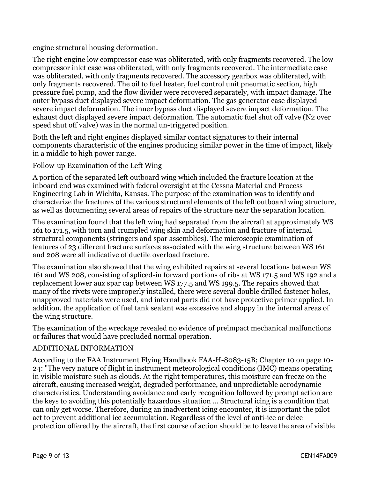engine structural housing deformation.

The right engine low compressor case was obliterated, with only fragments recovered. The low compressor inlet case was obliterated, with only fragments recovered. The intermediate case was obliterated, with only fragments recovered. The accessory gearbox was obliterated, with only fragments recovered. The oil to fuel heater, fuel control unit pneumatic section, high pressure fuel pump, and the flow divider were recovered separately, with impact damage. The outer bypass duct displayed severe impact deformation. The gas generator case displayed severe impact deformation. The inner bypass duct displayed severe impact deformation. The exhaust duct displayed severe impact deformation. The automatic fuel shut off valve (N2 over speed shut off valve) was in the normal un-triggered position.

Both the left and right engines displayed similar contact signatures to their internal components characteristic of the engines producing similar power in the time of impact, likely in a middle to high power range.

Follow-up Examination of the Left Wing

A portion of the separated left outboard wing which included the fracture location at the inboard end was examined with federal oversight at the Cessna Material and Process Engineering Lab in Wichita, Kansas. The purpose of the examination was to identify and characterize the fractures of the various structural elements of the left outboard wing structure, as well as documenting several areas of repairs of the structure near the separation location.

The examination found that the left wing had separated from the aircraft at approximately WS 161 to 171.5, with torn and crumpled wing skin and deformation and fracture of internal structural components (stringers and spar assemblies). The microscopic examination of features of 23 different fracture surfaces associated with the wing structure between WS 161 and 208 were all indicative of ductile overload fracture.

The examination also showed that the wing exhibited repairs at several locations between WS 161 and WS 208, consisting of spliced-in forward portions of ribs at WS 171.5 and WS 192 and a replacement lower aux spar cap between WS 177.5 and WS 199.5. The repairs showed that many of the rivets were improperly installed, there were several double drilled fastener holes, unapproved materials were used, and internal parts did not have protective primer applied. In addition, the application of fuel tank sealant was excessive and sloppy in the internal areas of the wing structure.

The examination of the wreckage revealed no evidence of preimpact mechanical malfunctions or failures that would have precluded normal operation.

#### ADDITIONAL INFORMATION

According to the FAA Instrument Flying Handbook FAA-H-8083-15B; Chapter 10 on page 10- 24: "The very nature of flight in instrument meteorological conditions (IMC) means operating in visible moisture such as clouds. At the right temperatures, this moisture can freeze on the aircraft, causing increased weight, degraded performance, and unpredictable aerodynamic characteristics. Understanding avoidance and early recognition followed by prompt action are the keys to avoiding this potentially hazardous situation … Structural icing is a condition that can only get worse. Therefore, during an inadvertent icing encounter, it is important the pilot act to prevent additional ice accumulation. Regardless of the level of anti-ice or deice protection offered by the aircraft, the first course of action should be to leave the area of visible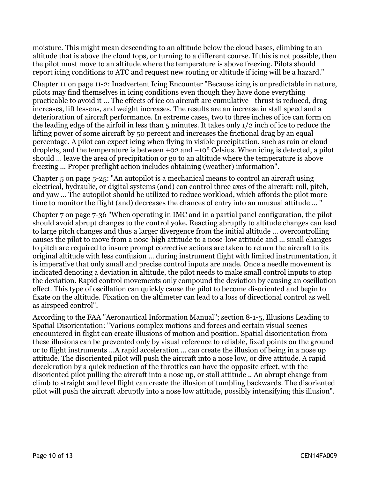moisture. This might mean descending to an altitude below the cloud bases, climbing to an altitude that is above the cloud tops, or turning to a different course. If this is not possible, then the pilot must move to an altitude where the temperature is above freezing. Pilots should report icing conditions to ATC and request new routing or altitude if icing will be a hazard."

Chapter 11 on page 11-2: Inadvertent Icing Encounter "Because icing is unpredictable in nature, pilots may find themselves in icing conditions even though they have done everything practicable to avoid it … The effects of ice on aircraft are cumulative—thrust is reduced, drag increases, lift lessens, and weight increases. The results are an increase in stall speed and a deterioration of aircraft performance. In extreme cases, two to three inches of ice can form on the leading edge of the airfoil in less than 5 minutes. It takes only 1/2 inch of ice to reduce the lifting power of some aircraft by 50 percent and increases the frictional drag by an equal percentage. A pilot can expect icing when flying in visible precipitation, such as rain or cloud droplets, and the temperature is between +02 and –10° Celsius. When icing is detected, a pilot should … leave the area of precipitation or go to an altitude where the temperature is above freezing … Proper preflight action includes obtaining (weather) information".

Chapter 5 on page 5-25: "An autopilot is a mechanical means to control an aircraft using electrical, hydraulic, or digital systems (and) can control three axes of the aircraft: roll, pitch, and yaw ... The autopilot should be utilized to reduce workload, which affords the pilot more time to monitor the flight (and) decreases the chances of entry into an unusual attitude ... "

Chapter 7 on page 7-36 "When operating in IMC and in a partial panel configuration, the pilot should avoid abrupt changes to the control yoke. Reacting abruptly to altitude changes can lead to large pitch changes and thus a larger divergence from the initial altitude … overcontrolling causes the pilot to move from a nose-high attitude to a nose-low attitude and … small changes to pitch are required to insure prompt corrective actions are taken to return the aircraft to its original altitude with less confusion … during instrument flight with limited instrumentation, it is imperative that only small and precise control inputs are made. Once a needle movement is indicated denoting a deviation in altitude, the pilot needs to make small control inputs to stop the deviation. Rapid control movements only compound the deviation by causing an oscillation effect. This type of oscillation can quickly cause the pilot to become disoriented and begin to fixate on the altitude. Fixation on the altimeter can lead to a loss of directional control as well as airspeed control".

According to the FAA "Aeronautical Information Manual"; section 8-1-5, Illusions Leading to Spatial Disorientation: "Various complex motions and forces and certain visual scenes encountered in flight can create illusions of motion and position. Spatial disorientation from these illusions can be prevented only by visual reference to reliable, fixed points on the ground or to flight instruments ...A rapid acceleration … can create the illusion of being in a nose up attitude. The disoriented pilot will push the aircraft into a nose low, or dive attitude. A rapid deceleration by a quick reduction of the throttles can have the opposite effect, with the disoriented pilot pulling the aircraft into a nose up, or stall attitude .. An abrupt change from climb to straight and level flight can create the illusion of tumbling backwards. The disoriented pilot will push the aircraft abruptly into a nose low attitude, possibly intensifying this illusion".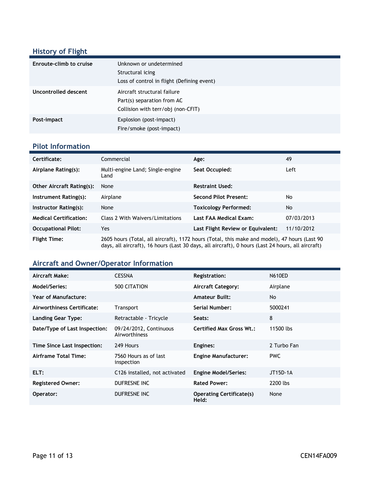# **History of Flight**

| Enroute-climb to cruise | Unknown or undetermined<br>Structural icing<br>Loss of control in flight (Defining event)       |
|-------------------------|-------------------------------------------------------------------------------------------------|
| Uncontrolled descent    | Aircraft structural failure<br>Part(s) separation from AC<br>Collision with terr/obj (non-CFIT) |
| Post-impact             | Explosion (post-impact)<br>Fire/smoke (post-impact)                                             |

#### **Pilot Information**

| Certificate:                     | Commercial                                                                                                                                                                                        | Age:                              | 49         |
|----------------------------------|---------------------------------------------------------------------------------------------------------------------------------------------------------------------------------------------------|-----------------------------------|------------|
| Airplane Rating(s):              | Multi-engine Land; Single-engine<br>Land                                                                                                                                                          | Seat Occupied:                    | Left       |
| <b>Other Aircraft Rating(s):</b> | None                                                                                                                                                                                              | <b>Restraint Used:</b>            |            |
| Instrument Rating(s):            | Airplane                                                                                                                                                                                          | <b>Second Pilot Present:</b>      | No         |
| Instructor Rating(s):            | None                                                                                                                                                                                              | <b>Toxicology Performed:</b>      | No         |
| <b>Medical Certification:</b>    | Class 2 With Waivers/Limitations                                                                                                                                                                  | Last FAA Medical Exam:            | 07/03/2013 |
| <b>Occupational Pilot:</b>       | Yes                                                                                                                                                                                               | Last Flight Review or Equivalent: | 11/10/2012 |
| <b>Flight Time:</b>              | 2605 hours (Total, all aircraft), 1172 hours (Total, this make and model), 47 hours (Last 90<br>days, all aircraft), 16 hours (Last 30 days, all aircraft), 0 hours (Last 24 hours, all aircraft) |                                   |            |

## **Aircraft and Owner/Operator Information**

| Aircraft Make:                | <b>CESSNA</b>                           | <b>Registration:</b>                     | <b>N610ED</b> |
|-------------------------------|-----------------------------------------|------------------------------------------|---------------|
| Model/Series:                 | 500 CITATION                            | <b>Aircraft Category:</b>                | Airplane      |
| Year of Manufacture:          |                                         | <b>Amateur Built:</b>                    | No.           |
| Airworthiness Certificate:    | <b>Transport</b>                        | Serial Number:                           | 5000241       |
| <b>Landing Gear Type:</b>     | Retractable - Tricycle                  | Seats:                                   | 8             |
| Date/Type of Last Inspection: | 09/24/2012, Continuous<br>Airworthiness | <b>Certified Max Gross Wt.:</b>          | 11500 lbs     |
| Time Since Last Inspection:   | 249 Hours                               | Engines:                                 | 2 Turbo Fan   |
| Airframe Total Time:          | 7560 Hours as of last<br>inspection     | <b>Engine Manufacturer:</b>              | <b>PWC</b>    |
| ELT:                          | C126 installed, not activated           | <b>Engine Model/Series:</b>              | JT15D-1A      |
| <b>Registered Owner:</b>      | DUFRESNE INC                            | <b>Rated Power:</b>                      | 2200 lbs      |
| Operator:                     | DUFRESNE INC                            | <b>Operating Certificate(s)</b><br>Held: | None          |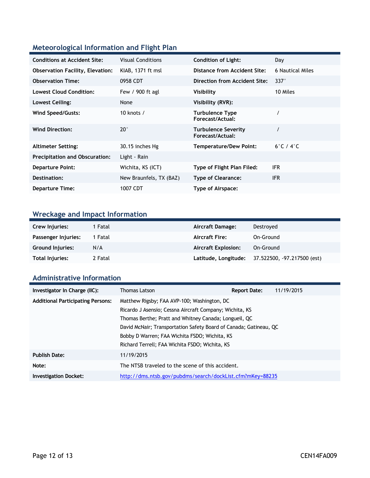## **Meteorological Information and Flight Plan**

| <b>Conditions at Accident Site:</b>     | <b>Visual Conditions</b> | <b>Condition of Light:</b>                     | Day                       |
|-----------------------------------------|--------------------------|------------------------------------------------|---------------------------|
| <b>Observation Facility, Elevation:</b> | KIAB, 1371 ft msl        | Distance from Accident Site:                   | 6 Nautical Miles          |
| <b>Observation Time:</b>                | 0958 CDT                 | Direction from Accident Site:                  | $337^\circ$               |
| <b>Lowest Cloud Condition:</b>          | Few / 900 ft agl         | Visibility                                     | 10 Miles                  |
| Lowest Ceiling:                         | None                     | Visibility (RVR):                              |                           |
| Wind Speed/Gusts:                       | 10 knots $/$             | <b>Turbulence Type</b><br>Forecast/Actual:     |                           |
| <b>Wind Direction:</b>                  | $20^{\circ}$             | <b>Turbulence Severity</b><br>Forecast/Actual: |                           |
| <b>Altimeter Setting:</b>               | 30.15 inches Hg          | <b>Temperature/Dew Point:</b>                  | $6^\circ$ C / $4^\circ$ C |
| <b>Precipitation and Obscuration:</b>   | Light - Rain             |                                                |                           |
| <b>Departure Point:</b>                 | Wichita, KS (ICT)        | Type of Flight Plan Filed:                     | IFR.                      |
| Destination:                            | New Braunfels, TX (BAZ)  | <b>Type of Clearance:</b>                      | IFR.                      |
| <b>Departure Time:</b>                  | 1007 CDT                 | Type of Airspace:                              |                           |

# **Wreckage and Impact Information**

| Crew Injuries:          | 1 Fatal | Aircraft Damage:           | Destroved                   |
|-------------------------|---------|----------------------------|-----------------------------|
| Passenger Injuries:     | 1 Fatal | <b>Aircraft Fire:</b>      | On-Ground                   |
| <b>Ground Injuries:</b> | N/A     | <b>Aircraft Explosion:</b> | On-Ground                   |
| <b>Total Injuries:</b>  | 2 Fatal | Latitude, Longitude;       | 37.522500, -97.217500 (est) |

### **Administrative Information**

| Investigator In Charge (IIC):            | Thomas Latson                                                     | <b>Report Date:</b> | 11/19/2015 |  |
|------------------------------------------|-------------------------------------------------------------------|---------------------|------------|--|
| <b>Additional Participating Persons:</b> | Matthew Rigsby; FAA AVP-100; Washington, DC                       |                     |            |  |
|                                          | Ricardo J Asensio; Cessna Aircraft Company; Wichita, KS           |                     |            |  |
|                                          | Thomas Berthe; Pratt and Whitney Canada; Longueil, QC             |                     |            |  |
|                                          | David McNair; Transportation Safety Board of Canada; Gatineau, QC |                     |            |  |
|                                          | Bobby D Warren; FAA Wichita FSDO; Wichita, KS                     |                     |            |  |
|                                          | Richard Terrell; FAA Wichita FSDO; Wichita, KS                    |                     |            |  |
| <b>Publish Date:</b>                     | 11/19/2015                                                        |                     |            |  |
| Note:                                    | The NTSB traveled to the scene of this accident.                  |                     |            |  |
| <b>Investigation Docket:</b>             | http://dms.ntsb.gov/pubdms/search/dockList.cfm?mKey=88235         |                     |            |  |